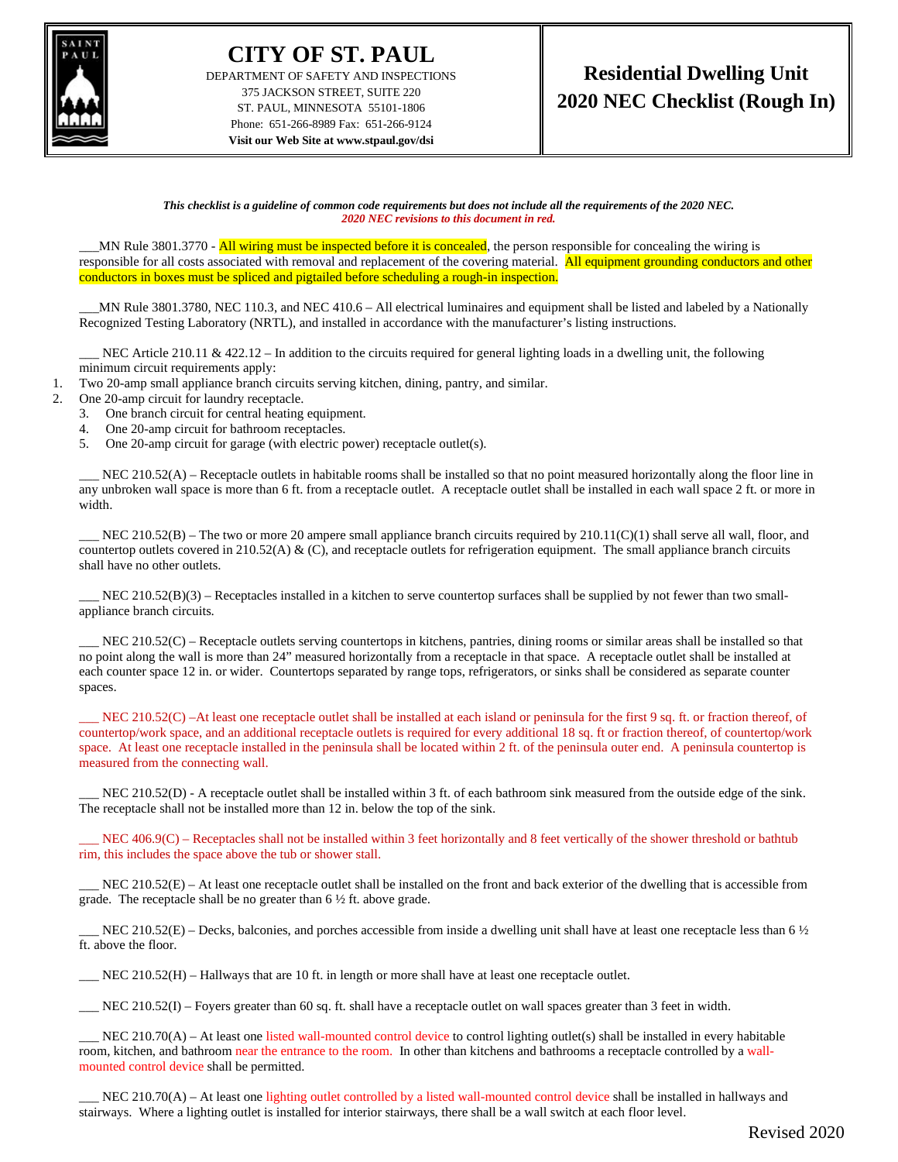

## **CITY OF ST. PAUL**

DEPARTMENT OF SAFETY AND INSPECTIONS 375 JACKSON STREET, SUITE 220 ST. PAUL, MINNESOTA 55101-1806 Phone: 651-266-8989 Fax: 651-266-9124 **Visit our Web Site at www.stpaul.gov/dsi**

*This checklist is a guideline of common code requirements but does not include all the requirements of the 2020 NEC. 2020 NEC revisions to this document in red.*

MN Rule 3801.3770 - All wiring must be inspected before it is concealed, the person responsible for concealing the wiring is responsible for all costs associated with removal and replacement of the covering material. All equipment grounding conductors and other conductors in boxes must be spliced and pigtailed before scheduling a rough-in inspection.

\_\_\_MN Rule 3801.3780, NEC 110.3, and NEC 410.6 – All electrical luminaires and equipment shall be listed and labeled by a Nationally Recognized Testing Laboratory (NRTL), and installed in accordance with the manufacturer's listing instructions.

NEC Article 210.11 & 422.12 – In addition to the circuits required for general lighting loads in a dwelling unit, the following minimum circuit requirements apply:

1. Two 20-amp small appliance branch circuits serving kitchen, dining, pantry, and similar.

- 2. One 20-amp circuit for laundry receptacle.
	- 3. One branch circuit for central heating equipment.
	- 4. One 20-amp circuit for bathroom receptacles.
	- 5. One 20-amp circuit for garage (with electric power) receptacle outlet(s).

NEC 210.52(A) – Receptacle outlets in habitable rooms shall be installed so that no point measured horizontally along the floor line in any unbroken wall space is more than 6 ft. from a receptacle outlet. A receptacle outlet shall be installed in each wall space 2 ft. or more in width.

NEC 210.52(B) – The two or more 20 ampere small appliance branch circuits required by  $210.11(C)(1)$  shall serve all wall, floor, and countertop outlets covered in 210.52(A) & (C), and receptacle outlets for refrigeration equipment. The small appliance branch circuits shall have no other outlets.

 $NEC 210.52(B)(3)$  – Receptacles installed in a kitchen to serve countertop surfaces shall be supplied by not fewer than two smallappliance branch circuits.

NEC 210.52(C) – Receptacle outlets serving countertops in kitchens, pantries, dining rooms or similar areas shall be installed so that no point along the wall is more than 24" measured horizontally from a receptacle in that space. A receptacle outlet shall be installed at each counter space 12 in. or wider. Countertops separated by range tops, refrigerators, or sinks shall be considered as separate counter spaces.

NEC 210.52(C) –At least one receptacle outlet shall be installed at each island or peninsula for the first 9 sq. ft. or fraction thereof, of countertop/work space, and an additional receptacle outlets is required for every additional 18 sq. ft or fraction thereof, of countertop/work space. At least one receptacle installed in the peninsula shall be located within 2 ft. of the peninsula outer end. A peninsula countertop is measured from the connecting wall.

 $NEC 210.52(D)$  - A receptacle outlet shall be installed within 3 ft. of each bathroom sink measured from the outside edge of the sink. The receptacle shall not be installed more than 12 in. below the top of the sink.

\_\_\_ NEC 406.9(C) – Receptacles shall not be installed within 3 feet horizontally and 8 feet vertically of the shower threshold or bathtub rim, this includes the space above the tub or shower stall.

NEC 210.52(E) – At least one receptacle outlet shall be installed on the front and back exterior of the dwelling that is accessible from grade. The receptacle shall be no greater than  $6\frac{1}{2}$  ft. above grade.

NEC 210.52(E) – Decks, balconies, and porches accessible from inside a dwelling unit shall have at least one receptacle less than 6  $\frac{1}{2}$ ft. above the floor.

\_\_\_ NEC 210.52(H) – Hallways that are 10 ft. in length or more shall have at least one receptacle outlet.

\_\_\_ NEC 210.52(I) – Foyers greater than 60 sq. ft. shall have a receptacle outlet on wall spaces greater than 3 feet in width.

NEC  $210.70(A)$  – At least one listed wall-mounted control device to control lighting outlet(s) shall be installed in every habitable room, kitchen, and bathroom near the entrance to the room. In other than kitchens and bathrooms a receptacle controlled by a wallmounted control device shall be permitted.

NEC 210.70(A) – At least one lighting outlet controlled by a listed wall-mounted control device shall be installed in hallways and stairways. Where a lighting outlet is installed for interior stairways, there shall be a wall switch at each floor level.